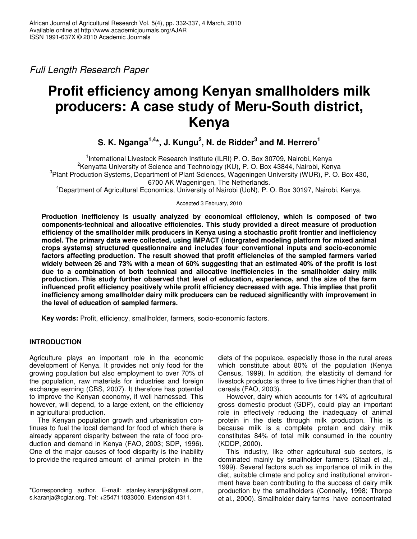*Full Length Research Paper*

# **Profit efficiency among Kenyan smallholders milk producers: A case study of Meru-South district, Kenya**

**S. K. Nganga 1,4 \*, J. Kungu 2 , N. de Ridder 3 and M. Herrero 1**

<sup>1</sup>International Livestock Research Institute (ILRI) P. O. Box 30709, Nairobi, Kenya <sup>2</sup>Kenyatta University of Science and Technology (KU), P. O. Box 43844, Nairobi, Kenya <sup>3</sup> Plant Production Systems, Department of Plant Sciences, Wageningen University (WUR), P. O. Box 430, 6700 AK Wageningen, The Netherlands. <sup>4</sup>Department of Agricultural Economics, University of Nairobi (UoN), P. O. Box 30197, Nairobi, Kenya.

Accepted 3 February, 2010

**Production inefficiency is usually analyzed by economical efficiency, which is composed of two components-technical and allocative efficiencies. This study provided a direct measure of production efficiency of the smallholder milk producers in Kenya using a stochastic profit frontier and inefficiency model. The primary data were collected, using IMPACT (intergrated modeling platform for mixed animal crops systems) structured questionnaire and includes four conventional inputs and socio-economic factors affecting production. The result showed that profit efficiencies of the sampled farmers varied** widely between 26 and 73% with a mean of 60% suggesting that an estimated 40% of the profit is lost **due to a combination of both technical and allocative inefficiencies in the smallholder dairy milk production. This study further observed that level of education, experience, and the size of the farm influenced profit efficiency positively while profit efficiency decreased with age. This implies that profit inefficiency among smallholder dairy milk producers can be reduced significantly with improvement in the level of education of sampled farmers.**

**Key words:** Profit, efficiency, smallholder, farmers, socio-economic factors.

## **INTRODUCTION**

Agriculture plays an important role in the economic development of Kenya. It provides not only food for the growing population but also employment to over 70% of the population, raw materials for industries and foreign exchange earning (CBS, 2007). It therefore has potential to improve the Kenyan economy, if well harnessed. This however, will depend, to a large extent, on the efficiency in agricultural production.

The Kenyan population growth and urbanisation continues to fuel the local demand for food of which there is already apparent disparity between the rate of food production and demand in Kenya (FAO, 2003; SDP, 1996). One of the major causes of food disparity is the inability to provide the required amount of animal protein in the

diets of the populace, especially those in the rural areas which constitute about 80% of the population (Kenya Census, 1999). In addition, the elasticity of demand for livestock products is three to five times higher than that of cereals (FAO, 2003).

However, dairy which accounts for 14% of agricultural gross domestic product (GDP), could play an important role in effectively reducing the inadequacy of animal protein in the diets through milk production. This is because milk is a complete protein and dairy milk constitutes 84% of total milk consumed in the country (KDDP, 2000).

This industry, like other agricultural sub sectors, is dominated mainly by smallholder farmers (Staal et al., 1999). Several factors such as importance of milk in the diet, suitable climate and policy and institutional environment have been contributing to the success of dairy milk production by the smallholders (Connelly, 1998; Thorpe et al., 2000). Smallholder dairy farms have concentrated

<sup>\*</sup>Corresponding author. E-mail: stanley.karanja@gmail.com, s.karanja@cgiar.org. Tel: +254711033000. Extension 4311.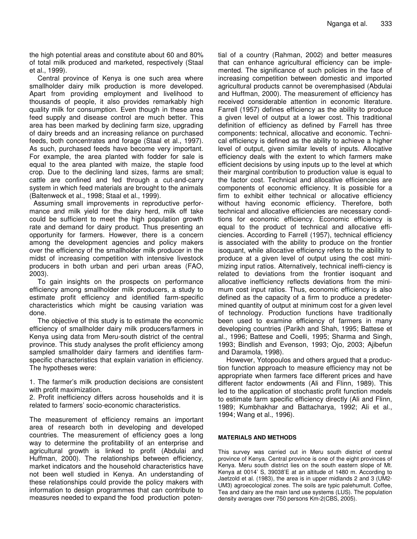the high potential areas and constitute about 60 and 80% of total milk produced and marketed, respectively (Staal et al., 1999).

Central province of Kenya is one such area where smallholder dairy milk production is more developed. Apart from providing employment and livelihood to thousands of people, it also provides remarkably high quality milk for consumption. Even though in these area feed supply and disease control are much better. This area has been marked by declining farm size, upgrading of dairy breeds and an increasing reliance on purchased feeds, both concentrates and forage (Staal et al., 1997). As such, purchased feeds have become very important. For example, the area planted with fodder for sale is equal to the area planted with maize, the staple food crop. Due to the declining land sizes, farms are small; cattle are confined and fed through a cut-and-carry system in which feed materials are brought to the animals (Baltenweck et al., 1998; Staal et al., 1999).

Assuming small improvements in reproductive performance and milk yield for the dairy herd, milk off take could be sufficient to meet the high population growth rate and demand for dairy product. Thus presenting an opportunity for farmers. However, there is a concern among the development agencies and policy makers over the efficiency of the smallholder milk producer in the midst of increasing competition with intensive livestock producers in both urban and peri urban areas (FAO, 2003).

To gain insights on the prospects on performance efficiency among smallholder milk producers, a study to estimate profit efficiency and identified farm-specific characteristics which might be causing variation was done.

The objective of this study is to estimate the economic efficiency of smallholder dairy milk producers/farmers in Kenya using data from Meru-south district of the central province. This study analyses the profit efficiency among sampled smallholder dairy farmers and identifies farmspecific characteristics that explain variation in efficiency. The hypotheses were:

1. The farmer's milk production decisions are consistent with profit maximization.

2. Profit inefficiency differs across households and it is related to farmers' socio-economic characteristics.

The measurement of efficiency remains an important area of research both in developing and developed countries. The measurement of efficiency goes a long way to determine the profitability of an enterprise and agricultural growth is linked to profit (Abdulai and Huffman, 2000). The relationships between efficiency, market indicators and the household characteristics have not been well studied in Kenya. An understanding of these relationships could provide the policy makers with information to design programmes that can contribute to measures needed to expand the food production poten-

tial of a country (Rahman, 2002) and better measures that can enhance agricultural efficiency can be implemented. The significance of such policies in the face of increasing competition between domestic and imported agricultural products cannot be overemphasised (Abdulai and Huffman, 2000). The measurement of efficiency has received considerable attention in economic literature. Farrell (1957) defines efficiency as the ability to produce a given level of output at a lower cost. This traditional definition of efficiency as defined by Farrell has three components: technical, allocative and economic. Technical efficiency is defined as the ability to achieve a higher level of output, given similar levels of inputs. Allocative efficiency deals with the extent to which farmers make efficient decisions by using inputs up to the level at which their marginal contribution to production value is equal to the factor cost. Technical and allocative efficiencies are components of economic efficiency. It is possible for a firm to exhibit either technical or allocative efficiency without having economic efficiency. Therefore, both technical and allocative efficiencies are necessary conditions for economic efficiency. Economic efficiency is equal to the product of technical and allocative efficiencies. According to Farrell (1957), technical efficiency is associated with the ability to produce on the frontier isoquant, while allocative efficiency refers to the ability to produce at a given level of output using the cost minimizing input ratios. Alternatively, technical ineffi-ciency is related to deviations from the frontier isoquant and allocative inefficiency reflects deviations from the minimum cost input ratios. Thus, economic efficiency is also defined as the capacity of a firm to produce a predetermined quantity of output at minimum cost for a given level of technology. Production functions have traditionally been used to examine efficiency of farmers in many developing countries (Parikh and Shah, 1995; Battese et al., 1996; Battese and Coelli, 1995; Sharma and Singh, 1993; Bindlish and Evenson, 1993; Ojo, 2003; Ajibefun and Daramola, 1998).

However, Yotopoulos and others argued that a production function approach to measure efficiency may not be appropriate when farmers face different prices and have different factor endowments (Ali and Flinn, 1989). This led to the application of stochastic profit function models to estimate farm specific efficiency directly (Ali and Flinn, 1989; Kumbhakhar and Battacharya, 1992; Ali et al., 1994; Wang et al., 1996).

## **MATERIALS AND METHODS**

This survey was carried out in Meru south district of central province of Kenya. Central province is one of the eight provinces of Kenya. Meru south district lies on the south eastern slope of Mt. Kenya at 0014' S, 39038'E at an altitude of 1480 m. According to Jaetzold et al. (1983), the area is in upper midlands 2 and 3 (UM2- UM3) agroecological zones. The soils are typic palehumult. Coffee, Tea and dairy are the main land use systems (LUS). The population density averages over 750 persons Km-2(CBS, 2005).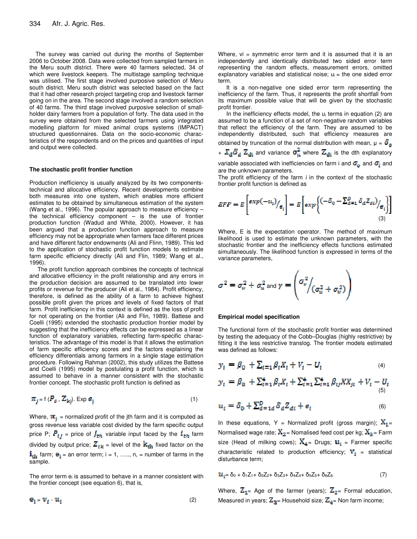The survey was carried out during the months of September 2006 to October 2008. Data were collected from sampled farmers in the Meru south district. There were 40 farmers selected, 34 of which were livestock keepers. The multistage sampling technique was utilised. The first stage involved purposive selection of Meru south district. Meru south district was selected based on the fact that it had other research project targeting crop and livestock farmer going on in the area. The second stage involved a random selection of 40 farms. The third stage involved purposive selection of smallholder dairy farmers from a population of forty. The data used in the survey were obtained from the selected farmers using integrated modelling platform for mixed animal crops systems (IMPACT) structured questionnaires. Data on the socio-economic characteristics of the respondents and on the prices and quantities of input and output were collected.

#### **The stochastic profit frontier function**

Production inefficiency is usually analyzed by its two componentstechnical and allocative efficiency. Recent developments combine both measures into one system, which enables more efficient estimates to be obtained by simultaneous estimation of the system (Wang et al., 1996). The popular approach to measure efficiency – the technical efficiency component – is the use of frontier production function (Wadud and White, 2000). However, it has been argued that a production function approach to measure efficiency may not be appropriate when farmers face different prices and have different factor endowments (Ali and Flinn, 1989). This led to the application of stochastic profit function models to estimate farm specific efficiency directly (Ali and Flin, 1989; Wang et al., 1996).

The profit function approach combines the concepts of technical and allocative efficiency in the profit relationship and any errors in the production decision are assumed to be translated into lower profits or revenue for the producer (Ali et al., 1984). Profit efficiency, therefore, is defined as the ability of a farm to achieve highest possible profit given the prices and levels of fixed factors of that farm. Profit inefficiency in this context is defined as the loss of profit for not operating on the frontier (Ali and Flin, 1989). Battese and Coelli (1995) extended the stochastic production frontier model by suggesting that the inefficiency effects can be expressed as a linear function of explanatory variables, reflecting farm-specific characteristics. The advantage of this model is that it allows the estimation of farm specific efficiency scores and the factors explaining the efficiency differentials among farmers in a single stage estimation procedure. Following Rahman (2002), this study utilizes the Battese and Coelli (1995) model by postulating a profit function, which is assumed to behave in a manner consistent with the stochastic frontier concept. The stochastic profit function is defined as

$$
\pi_{j} = f(P_{ij}, Z_{ki}). \text{Exp } e_{ij} \tag{1}
$$

Where,  $\mathbf{\pi}_{i}$  = normalized profit of the jth farm and it is computed as gross revenue less variable cost divided by the farm specific output price P;  $P_{ij}$  = price of  $I_{\text{th}}$  variable input faced by the  $i_{\text{th}}$  farm divided by output price;  $Z_{ik}$  = level of the  $k_{th}$  fixed factor on the  $i_{\text{th}}$  farm;  $e_i$  = an error term; i = 1, ....., n, = number of farms in the sample.

The error term  $e_i$  is assumed to behave in a manner consistent with the frontier concept (see equation 6), that is,

 $\mathbf{e}_i = \mathbf{v}_i \cdot \mathbf{u}_i$  (2)

Where,  $vi =$  symmetric error term and it is assumed that it is an independently and identically distributed two sided error term representing the random effects, measurement errors, omitted explanatory variables and statistical noise;  $u_i$  = the one sided error term.

It is a non-negative one sided error term representing the inefficiency of the farm. Thus, it represents the profit shortfall from its maximum possible value that will be given by the stochastic profit frontier.

In the inefficiency effects model, the u<sub>i</sub> terms in equation (2) are assumed to be a function of a set of non-negative random variables that reflect the efficiency of the farm. They are assumed to be independently distributed, such that efficiency measures are obtained by truncation of the normal distribution with mean,  $\mu = \delta_{\bf n}$ 

+  $\Sigma_d \delta_d Z_{di}$  and variance  $\sigma_\mu^2$  where  $Z_{di}$  is the dth explanatory

variable associated with inefficiencies on farm i and  $\sigma_{\rm o}$  and  $\sigma_{\rm i}$  and are the unknown parameters.

The profit efficiency of the farm *i* in the context of the stochastic frontier profit function is defined as

$$
EFF = E\left[\exp(-u_i)/_{\theta_i}\right] = E\left[\exp\left\{(-\delta_0 - \sum_{d=1}^D \delta_d Z_{di})/_{\theta_i}\right\}\right]
$$
\n(3)

Where, E is the expectation operator. The method of maximum likelihood is used to estimate the unknown parameters, with the stochastic frontier and the inefficiency effects functions estimated simultaneously. The likelihood function is expressed in terms of the variance parameters,

$$
\sigma^2 = \sigma_v^2 + \sigma_u^2 \text{ and } \gamma = \left(\frac{\sigma_v^2}{\sigma_u^2 + \sigma_v^2}\right)
$$

#### **Empirical model specification**

The functional form of the stochastic profit frontier was determined by testing the adequacy of the Cobb–Douglas (highly restrictive) by fitting it the less restrictive translog. The frontier models estimated was defined as follows:

$$
y_i = \beta_0 + \sum_{i=1} \beta_i X_i + V_i - U_i \tag{4}
$$

$$
\mathbf{y}_i = \beta_0 + \sum_{i=1}^4 \beta_i X_i + \sum_{i=1}^4 \sum_{i=1}^4 \beta_{ij} X X_{ji} + V_i - U_i
$$
<sup>(5)</sup>

$$
u_i = \delta_0 + \sum_{d=1}^D \delta_d Z_{di} + e_i \tag{6}
$$

In these equations, Y = Normalized profit (gross margin);  $X_1$ = Normalised wage rate;  $X_2$  = Nomalised feed cost per kg;  $X_3$  = Farm size (Head of milking cows);  $X_4$  = Drugs;  $u_i$  = Farmer specific characteristic related to production efficiency;  $\mathbf{V}_1$  = statistical disturbance term;

$$
\mathbf{u}_{i} = \delta_{0} + \delta_{1} Z_{1} + \delta_{2} Z_{2} + \delta_{3} Z_{3} + \delta_{4} Z_{4} + \delta_{5} Z_{5} + \delta_{6} Z_{6} \tag{7}
$$

Where,  $\mathbb{Z}_{1}$ = Age of the farmer (years);  $\mathbb{Z}_{2}$ = Formal education, Measured in years;  $\mathbb{Z}_{3}$ = Household size;  $\mathbb{Z}_{4}$ = Non farm income;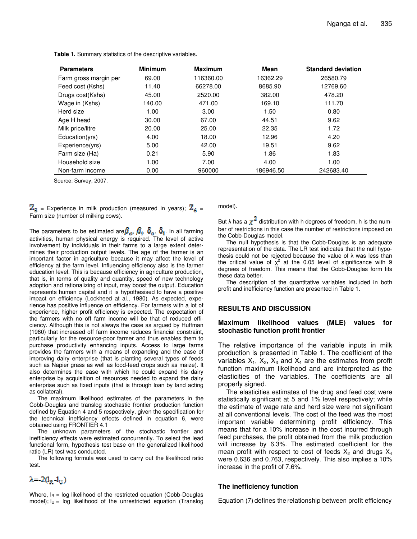| <b>Parameters</b>     | <b>Minimum</b> | <b>Maximum</b> | Mean      | <b>Standard deviation</b> |
|-----------------------|----------------|----------------|-----------|---------------------------|
| Farm gross margin per | 69.00          | 116360.00      | 16362.29  | 26580.79                  |
| Feed cost (Kshs)      | 11.40          | 66278.00       | 8685.90   | 12769.60                  |
| Drugs cost(Kshs)      | 45.00          | 2520.00        | 382.00    | 478.20                    |
| Wage in (Kshs)        | 140.00         | 471.00         | 169.10    | 111.70                    |
| Herd size             | 1.00           | 3.00           | 1.50      | 0.80                      |
| Age H head            | 30.00          | 67.00          | 44.51     | 9.62                      |
| Milk price/litre      | 20.00          | 25.00          | 22.35     | 1.72                      |
| Education(yrs)        | 4.00           | 18.00          | 12.96     | 4.20                      |
| Experience(yrs)       | 5.00           | 42.00          | 19.51     | 9.62                      |
| Farm size (Ha)        | 0.21           | 5.90           | 1.86      | 1.83                      |
| Household size        | 1.00           | 7.00           | 4.00      | 1.00                      |
| Non-farm income       | 0.00           | 960000         | 186946.50 | 242683.40                 |

**Table 1.** Summary statistics of the descriptive variables.

Source: Survey, 2007.

 $Z_{s}$  = Experience in milk production (measured in years);  $Z_{s}$  = Farm size (number of milking cows).

The parameters to be estimated are  $\beta_n$ ,  $\beta_1$ ,  $O_n$ ,  $O_i$ . In all farming activities, human physical energy is required. The level of active involvement by individuals in their farms to a large extent determines their production output levels. The age of the farmer is an important factor in agriculture because it may affect the level of efficiency at the farm level. Influencing efficiency also is the farmer education level. This is because efficiency in agriculture production, that is, in terms of quality and quantity, speed of new technology adoption and rationalizing of input, may boost the output. Education represents human capital and it is hypothesised to have a positive impact on efficiency (Lockheed at al., 1980). As expected, experience has positive influence on efficiency. For farmers with a lot of experience, higher profit efficiency is expected. The expectation of the farmers with no off farm income will be that of reduced efficiency. Although this is not always the case as argued by Huffman (1980) that increased off farm income reduces financial constraint, particularly for the resource-poor farmer and thus enables them to purchase productivity enhancing inputs. Access to large farms provides the farmers with a means of expanding and the ease of improving dairy enterprise (that is planting several types of feeds such as Napier grass as well as food-feed crops such as maize). It also determines the ease with which he could expand his dairy enterprise by acquisition of resources needed to expand the dairy enterprise such as fixed inputs (that is through loan by land acting as collateral).

The maximum likelihood estimates of the parameters in the Cobb-Douglas and translog stochastic frontier production function defined by Equation 4 and 5 respectively, given the specification for the technical inefficiency effects defined in equation 6, were obtained using FRONTIER 4.1

The unknown parameters of the stochastic frontier and inefficiency effects were estimated concurrently. To select the lead functional form, hypothesis test base on the generalized likelihood ratio (LR) test was conducted.

The following formula was used to carry out the likelihood ratio test.

# model).

But  $\lambda$  has a  $\chi^2$  distribution with h degrees of freedom. h is the number of restrictions in this case the number of restrictions imposed on the Cobb-Douglas model.

The null hypothesis is that the Cobb-Douglas is an adequate representation of the data. The LR test indicates that the null hypothesis could not be rejected because the value of  $\lambda$  was less than the critical value of  $\chi^2$  at the 0.05 level of significance with 9 degrees of freedom. This means that the Cobb-Douglas form fits these data better.

The description of the quantitative variables included in both profit and inefficiency function are presented in Table 1.

#### **RESULTS AND DISCUSSION**

#### **Maximum likelihood values (MLE) values for stochastic function profit frontier**

The relative importance of the variable inputs in milk production is presented in Table 1. The coefficient of the variables  $X_1$ ,  $X_2$ ,  $X_3$  and  $X_4$  are the estimates from profit function maximum likelihood and are interpreted as the elasticities of the variables. The coefficients are all properly signed.

The elasticities estimates of the drug and feed cost were statistically significant at 5 and 1% level respectively; while the estimate of wage rate and herd size were not significant at all conventional levels. The cost of the feed was the most important variable determining profit efficiency. This means that for a 10% increase in the cost incurred through feed purchases, the profit obtained from the milk production will increase by 6.3%. The estimated coefficient for the mean profit with respect to cost of feeds  $X_2$  and drugs  $X_4$ were 0.636 and 0.763, respectively. This also implies a 10% increase in the profit of 7.6%.

## **The inefficiency function**

Where,  $I_R$  = log likelihood of the restricted equation (Cobb-Douglas model);  $I_U = log$  likelihood of the unrestricted equation (Translog

 $\lambda = -2(l_{\rm R}-l_{\rm H})$ 

Equation (7) defines the relationship between profit efficiency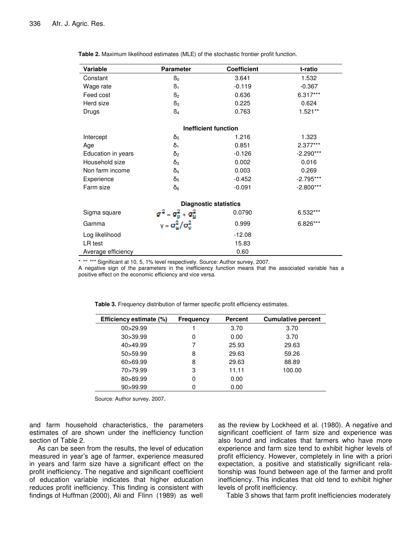| Variable                     | <b>Parameter</b>                            | <b>Coefficient</b> | t-ratio     |  |  |  |
|------------------------------|---------------------------------------------|--------------------|-------------|--|--|--|
| Constant                     | B <sub>0</sub>                              | 3.641              | 1.532       |  |  |  |
| Wage rate                    | $\beta_1$                                   | $-0.119$           | $-0.367$    |  |  |  |
| Feed cost                    | B <sub>2</sub>                              | 0.636              | 6.317***    |  |  |  |
| Herd size                    | $\mathsf{B}_3$                              | 0.225              | 0.624       |  |  |  |
| Drugs                        | $\mathsf{B}_4$                              | 0.763              | $1.521**$   |  |  |  |
| <b>Inefficient function</b>  |                                             |                    |             |  |  |  |
| Intercept                    | $\delta_0$                                  | 1.216              | 1.323       |  |  |  |
| Age                          | $\delta_1$                                  | 0.851              | 2.377***    |  |  |  |
| Education in years           | $\delta_2$                                  | $-0.126$           | $-2.290***$ |  |  |  |
| Household size               | $\delta_3$                                  | 0.002              | 0.016       |  |  |  |
| Non farm income              | $\overline{O}_4$                            | 0.003              | 0.269       |  |  |  |
| Experience                   | $\delta_5$                                  | $-0.452$           | $-2.795***$ |  |  |  |
| Farm size                    | δ <sub>6</sub>                              | $-0.091$           | $-2.800***$ |  |  |  |
| <b>Diagnostic statistics</b> |                                             |                    |             |  |  |  |
| Sigma square                 | $\sigma^2 = \sigma_v^2 + \sigma_u^2$        | 0.0790             | 6.532***    |  |  |  |
| Gamma                        | $v = \sigma_{\omega}^2 / \sigma_{\omega}^2$ | 0.999              | 6.826***    |  |  |  |
| Log likelihood               |                                             | $-12.08$           |             |  |  |  |
| LR test                      |                                             | 15.83              |             |  |  |  |
| Average efficiency           |                                             | 0.60               |             |  |  |  |

**Table 2.** Maximum likelihood estimates (MLE) of the stochastic frontier profit function.

\*\*\*\*\*\*\*\* Significant at 10, 5, 1% level respectively. Source: Author survey, 2007.

A negative sign of the parameters in the inefficiency function means that the associated variable has a positive effect on the economic efficiency and vice versa.

| Efficiency estimate (%) | <b>Frequency</b> | <b>Percent</b> | <b>Cumulative percent</b> |
|-------------------------|------------------|----------------|---------------------------|
| 00 > 29.99              |                  | 3.70           | 3.70                      |
| 30 > 39.99              | 0                | 0.00           | 3.70                      |
| 40>49.99                |                  | 25.93          | 29.63                     |
| 50>59.99                | 8                | 29.63          | 59.26                     |
| 60>69.99                | 8                | 29.63          | 88.89                     |
| 70>79.99                | 3                | 11.11          | 100.00                    |
| 80>89.99                |                  | 0.00           |                           |
| 90>99.99                |                  | 0.00           |                           |

**Table 3.** Frequency distribution of farmer specific profit efficiency estimates.

Source: Author survey, 2007.

and farm household characteristics, the parameters estimates of are shown under the inefficiency function section of Table 2.

As can be seen from the results, the level of education measured in year's age of farmer, experience measured in years and farm size have a significant effect on the profit inefficiency. The negative and significant coefficient of education variable indicates that higher education reduces profit inefficiency. This finding is consistent with findings of Huffman (2000), Ali and Flinn (1989) as well

as the review by Lockheed et al. (1980). A negative and significant coefficient of farm size and experience was also found and indicates that farmers who have more experience and farm size tend to exhibit higher levels of profit efficiency. However, completely in line with a priori expectation, a positive and statistically significant relationship was found between age of the farmer and profit inefficiency. This indicates that old tend to exhibit higher levels of profit inefficiency.

Table 3 shows that farm profit inefficiencies moderately